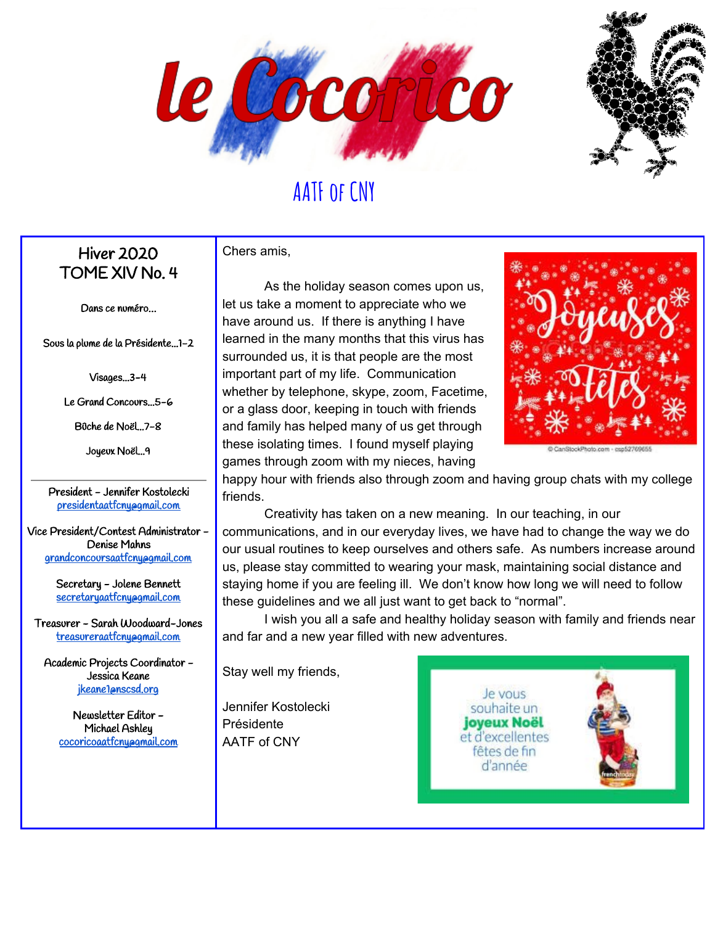



### Hiver 2020 TOME XIV No. 4

Dans ce numéro…

Sous la plume de la Présidente...1-2

Visages...3-4

Le Grand Concours...5-6

Bûche de Noël...7-8

Joyeux Noël...9

President - Jennifer Kostolecki [presidentaatfcny@gmail.com](mailto:presidentaatfcny@gmail.com)

Vice President/Contest Administrator - Denise Mahns [grandconcoursaatfcny@gmail.com](mailto:grandconcoursaatfcny@gmail.com)

> Secretary - Jolene Bennett [secretaryaatfcny@gmail.com](mailto:secretaryaatfcny@gmail.com)

Treasurer - Sarah Woodward-Jones [treasureraatfcny@gmail.com](mailto:treasureraatfcny@gmail.com)

Academic Projects Coordinator - Jessica Keane [jkeane1@nscsd.org](mailto:jkeane1@nscsd.org)

> Newsletter Editor - Michael Ashley [cocoricoaatfcny@gmail.com](mailto:cocoricoaatfcny@gmail.com)

Chers amis,

As the holiday season comes upon us, let us take a moment to appreciate who we have around us. If there is anything I have learned in the many months that this virus has surrounded us, it is that people are the most important part of my life. Communication whether by telephone, skype, zoom, Facetime, or a glass door, keeping in touch with friends and family has helped many of us get through these isolating times. I found myself playing games through zoom with my nieces, having



happy hour with friends also through zoom and having group chats with my college friends.

Creativity has taken on a new meaning. In our teaching, in our communications, and in our everyday lives, we have had to change the way we do our usual routines to keep ourselves and others safe. As numbers increase around us, please stay committed to wearing your mask, maintaining social distance and staying home if you are feeling ill. We don't know how long we will need to follow these guidelines and we all just want to get back to "normal".

I wish you all a safe and healthy holiday season with family and friends near and far and a new year filled with new adventures.

Stay well my friends,

Jennifer Kostolecki Présidente AATF of CNY

Je vous souhaite un **joyeux Noël** et d'excellentes fêtes de fin d'année

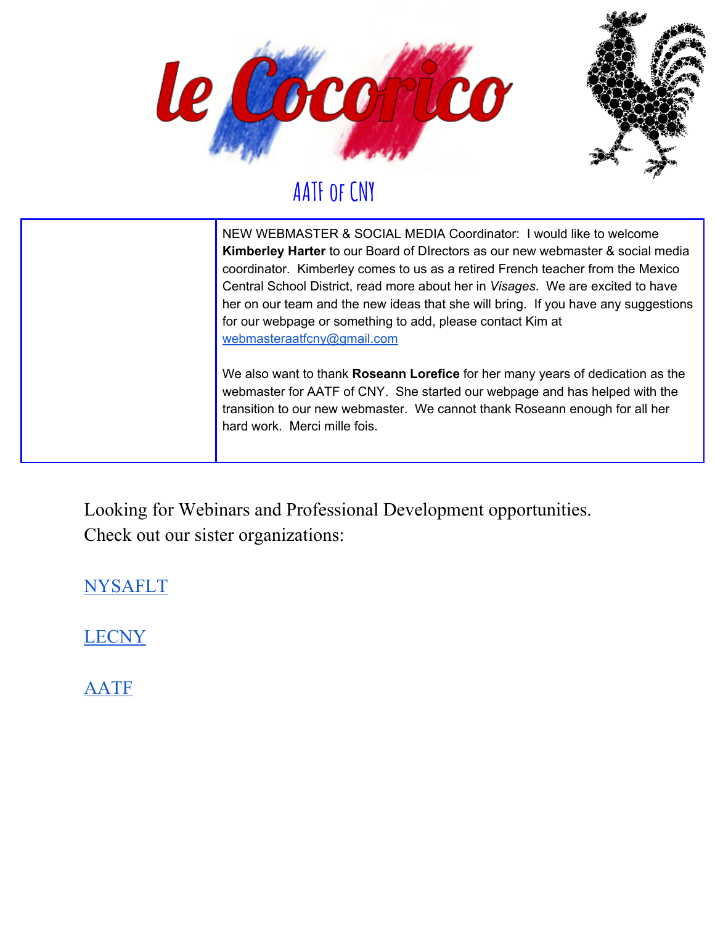



NEW WEBMASTER & SOCIAL MEDIA Coordinator: I would like to welcome **Kimberley Harter** to our Board of DIrectors as our new webmaster & social media coordinator. Kimberley comes to us as a retired French teacher from the Mexico Central School District, read more about her in *Visages*. We are excited to have her on our team and the new ideas that she will bring. If you have any suggestions for our webpage or something to add, please contact Kim at [webmasteraatfcny@gmail.com](mailto:webmasteraatfcny@gmail.com)

We also want to thank **Roseann Lorefice** for her many years of dedication as the webmaster for AATF of CNY. She started our webpage and has helped with the transition to our new webmaster. We cannot thank Roseann enough for all her hard work. Merci mille fois.

Looking for Webinars and Professional Development opportunities. Check out our sister organizations:

[NYSAFLT](https://nysaflt.org/)

[LECNY](https://sites.google.com/view/lecny/home)

[AATF](https://frenchteachers.org/resources/web-based-activities/)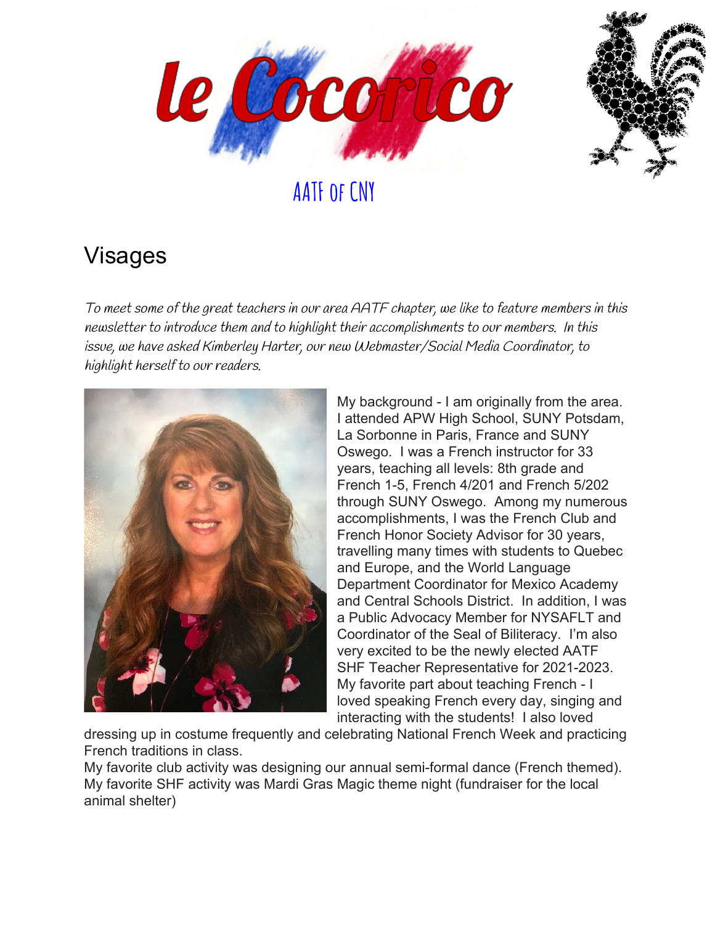



### Visages

To meet some of the great teachers in our area AATF chapter, we like to feature members in this newsletter to introduce them and to highlight their accomplishments to our members. In this issue, we have asked Kimberley Harter, our new Webmaster/Social Media Coordinator, to highlight herself to our readers.



My background - I am originally from the area. I attended APW High School, SUNY Potsdam, La Sorbonne in Paris, France and SUNY Oswego. I was a French instructor for 33 years, teaching all levels: 8th grade and French 1-5, French 4/201 and French 5/202 through SUNY Oswego. Among my numerous accomplishments, I was the French Club and French Honor Society Advisor for 30 years, travelling many times with students to Quebec and Europe, and the World Language Department Coordinator for Mexico Academy and Central Schools District. In addition, I was a Public Advocacy Member for NYSAFLT and Coordinator of the Seal of Biliteracy. I'm also very excited to be the newly elected AATF SHF Teacher Representative for 2021-2023. My favorite part about teaching French - I loved speaking French every day, singing and interacting with the students! I also loved

dressing up in costume frequently and celebrating National French Week and practicing French traditions in class.

My favorite club activity was designing our annual semi-formal dance (French themed). My favorite SHF activity was Mardi Gras Magic theme night (fundraiser for the local animal shelter)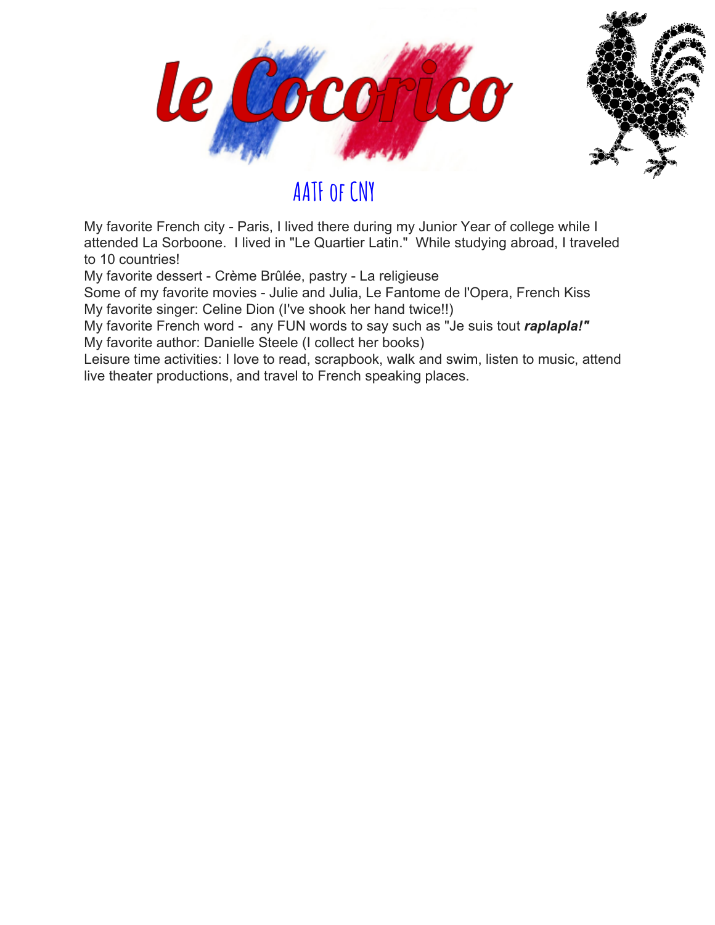



My favorite French city - Paris, I lived there during my Junior Year of college while I attended La Sorboone. I lived in "Le Quartier Latin." While studying abroad, I traveled to 10 countries!

My favorite dessert - Crème Brûlée, pastry - La religieuse

Some of my favorite movies - Julie and Julia, Le Fantome de l'Opera, French Kiss My favorite singer: Celine Dion (I've shook her hand twice!!)

My favorite French word - any FUN words to say such as "Je suis tout *raplapla!"* My favorite author: Danielle Steele (I collect her books)

Leisure time activities: I love to read, scrapbook, walk and swim, listen to music, attend live theater productions, and travel to French speaking places.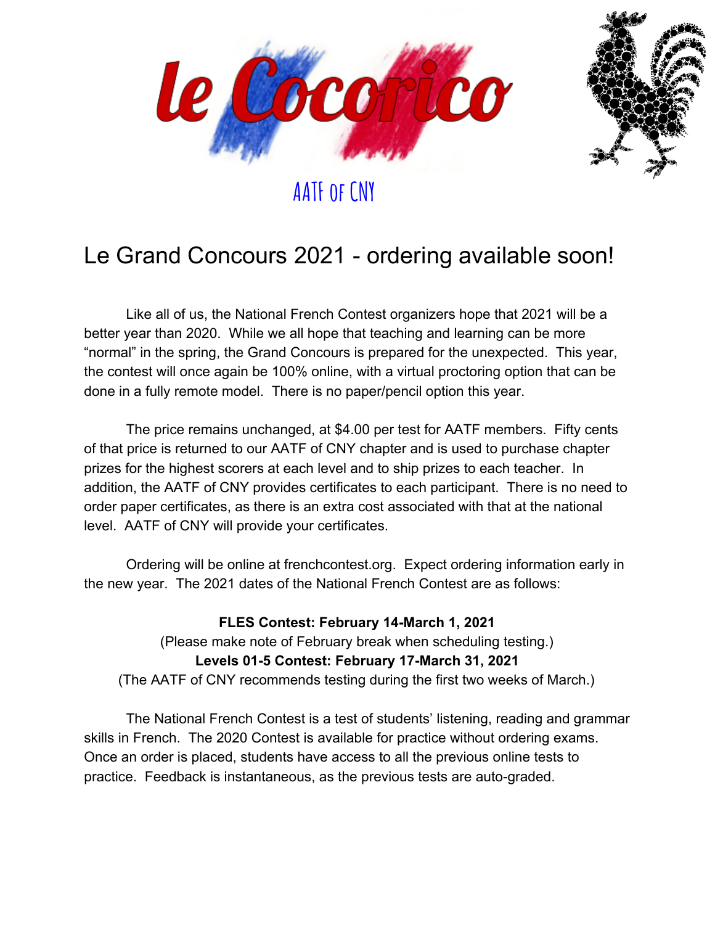



## Le Grand Concours 2021 - ordering available soon!

Like all of us, the National French Contest organizers hope that 2021 will be a better year than 2020. While we all hope that teaching and learning can be more "normal" in the spring, the Grand Concours is prepared for the unexpected. This year, the contest will once again be 100% online, with a virtual proctoring option that can be done in a fully remote model. There is no paper/pencil option this year.

The price remains unchanged, at \$4.00 per test for AATF members. Fifty cents of that price is returned to our AATF of CNY chapter and is used to purchase chapter prizes for the highest scorers at each level and to ship prizes to each teacher. In addition, the AATF of CNY provides certificates to each participant. There is no need to order paper certificates, as there is an extra cost associated with that at the national level. AATF of CNY will provide your certificates.

Ordering will be online at frenchcontest.org. Expect ordering information early in the new year. The 2021 dates of the National French Contest are as follows:

#### **FLES Contest: February 14-March 1, 2021**

(Please make note of February break when scheduling testing.) **Levels 01-5 Contest: February 17-March 31, 2021** (The AATF of CNY recommends testing during the first two weeks of March.)

The National French Contest is a test of students' listening, reading and grammar skills in French. The 2020 Contest is available for practice without ordering exams. Once an order is placed, students have access to all the previous online tests to practice. Feedback is instantaneous, as the previous tests are auto-graded.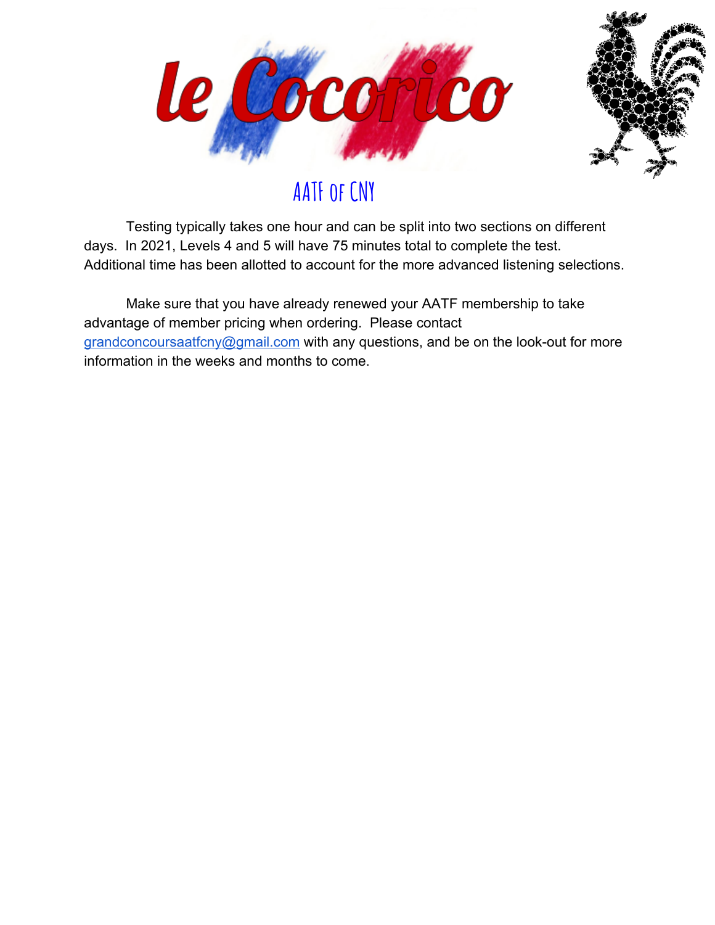



Testing typically takes one hour and can be split into two sections on different days. In 2021, Levels 4 and 5 will have 75 minutes total to complete the test. Additional time has been allotted to account for the more advanced listening selections.

Make sure that you have already renewed your AATF membership to take advantage of member pricing when ordering. Please contact [grandconcoursaatfcny@gmail.com](mailto:grandconcoursaatfcny@gmail.com) with any questions, and be on the look-out for more information in the weeks and months to come.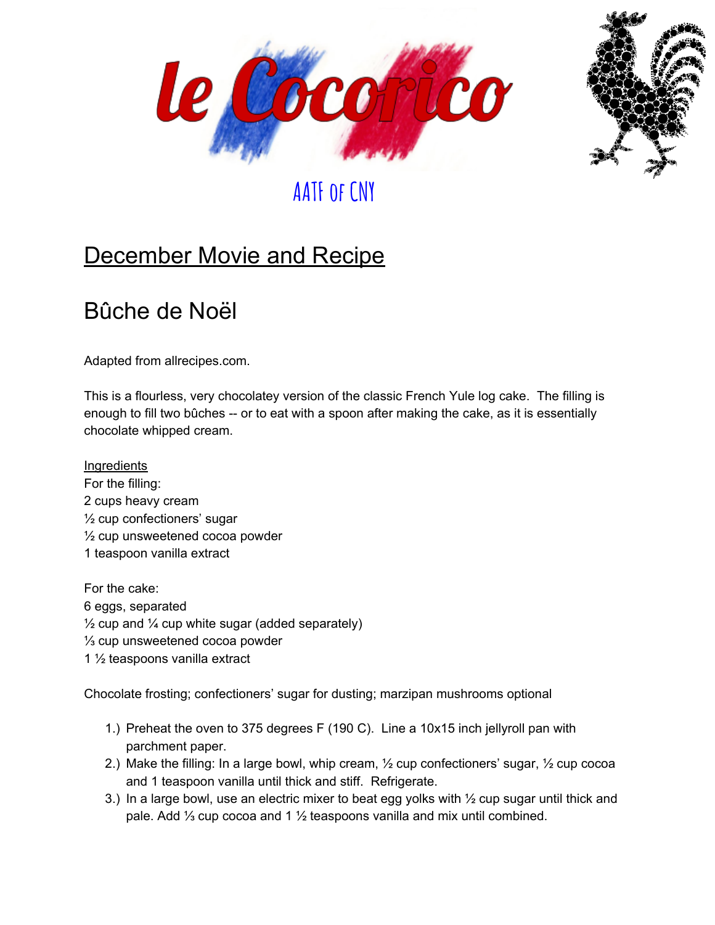



## **December Movie and Recipe**

### Bûche de Noël

Adapted from allrecipes.com.

This is a flourless, very chocolatey version of the classic French Yule log cake. The filling is enough to fill two bûches -- or to eat with a spoon after making the cake, as it is essentially chocolate whipped cream.

**Ingredients** For the filling: 2 cups heavy cream ½ cup confectioners' sugar ½ cup unsweetened cocoa powder 1 teaspoon vanilla extract

For the cake: 6 eggs, separated  $\frac{1}{2}$  cup and  $\frac{1}{4}$  cup white sugar (added separately) ⅓ cup unsweetened cocoa powder 1 ½ teaspoons vanilla extract

Chocolate frosting; confectioners' sugar for dusting; marzipan mushrooms optional

- 1.) Preheat the oven to 375 degrees F (190 C). Line a 10x15 inch jellyroll pan with parchment paper.
- 2.) Make the filling: In a large bowl, whip cream, ½ cup confectioners' sugar, ½ cup cocoa and 1 teaspoon vanilla until thick and stiff. Refrigerate.
- 3.) In a large bowl, use an electric mixer to beat egg yolks with  $\frac{1}{2}$  cup sugar until thick and pale. Add 1⁄3 cup cocoa and 1 1⁄2 teaspoons vanilla and mix until combined.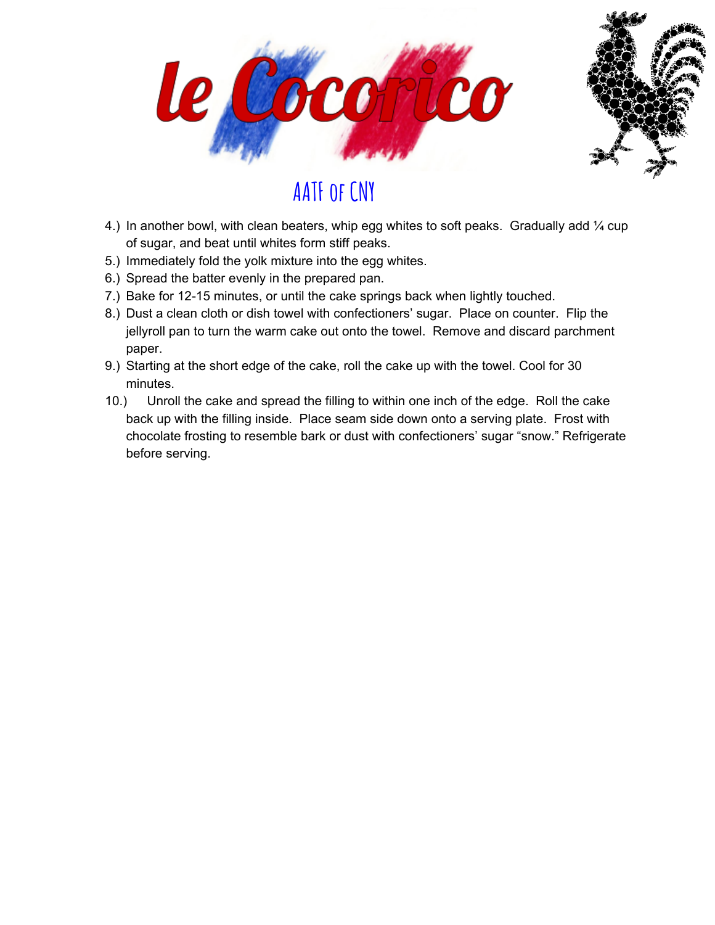



- 4.) In another bowl, with clean beaters, whip egg whites to soft peaks. Gradually add  $\frac{1}{4}$  cup of sugar, and beat until whites form stiff peaks.
- 5.) Immediately fold the yolk mixture into the egg whites.
- 6.) Spread the batter evenly in the prepared pan.
- 7.) Bake for 12-15 minutes, or until the cake springs back when lightly touched.
- 8.) Dust a clean cloth or dish towel with confectioners' sugar. Place on counter. Flip the jellyroll pan to turn the warm cake out onto the towel. Remove and discard parchment paper.
- 9.) Starting at the short edge of the cake, roll the cake up with the towel. Cool for 30 minutes.
- 10.) Unroll the cake and spread the filling to within one inch of the edge. Roll the cake back up with the filling inside. Place seam side down onto a serving plate. Frost with chocolate frosting to resemble bark or dust with confectioners' sugar "snow." Refrigerate before serving.